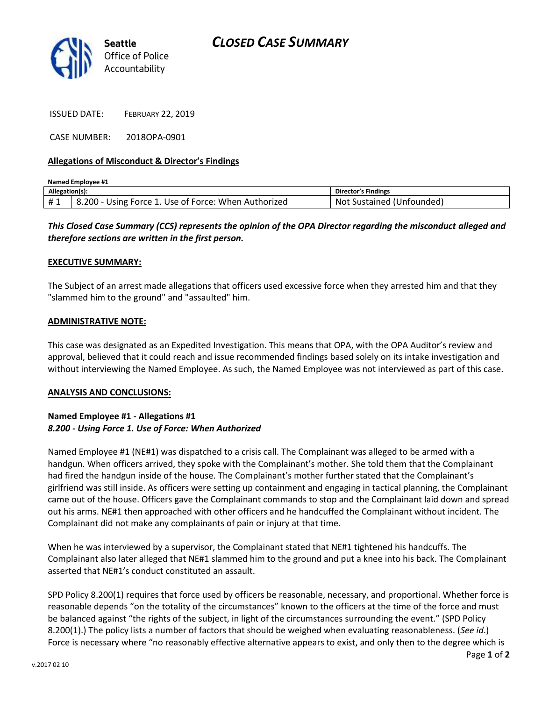## *CLOSED CASE SUMMARY*



ISSUED DATE: FEBRUARY 22, 2019

CASE NUMBER: 2018OPA-0901

### **Allegations of Misconduct & Director's Findings**

| Named Emplovee #1 |                                                      |                           |
|-------------------|------------------------------------------------------|---------------------------|
| Allegation(s):    |                                                      | Director's Findings       |
| #1                | 8.200 - Using Force 1. Use of Force: When Authorized | Not Sustained (Unfounded) |

## *This Closed Case Summary (CCS) represents the opinion of the OPA Director regarding the misconduct alleged and therefore sections are written in the first person.*

#### **EXECUTIVE SUMMARY:**

The Subject of an arrest made allegations that officers used excessive force when they arrested him and that they "slammed him to the ground" and "assaulted" him.

#### **ADMINISTRATIVE NOTE:**

This case was designated as an Expedited Investigation. This means that OPA, with the OPA Auditor's review and approval, believed that it could reach and issue recommended findings based solely on its intake investigation and without interviewing the Named Employee. As such, the Named Employee was not interviewed as part of this case.

#### **ANALYSIS AND CONCLUSIONS:**

## **Named Employee #1 - Allegations #1** *8.200 - Using Force 1. Use of Force: When Authorized*

Named Employee #1 (NE#1) was dispatched to a crisis call. The Complainant was alleged to be armed with a handgun. When officers arrived, they spoke with the Complainant's mother. She told them that the Complainant had fired the handgun inside of the house. The Complainant's mother further stated that the Complainant's girlfriend was still inside. As officers were setting up containment and engaging in tactical planning, the Complainant came out of the house. Officers gave the Complainant commands to stop and the Complainant laid down and spread out his arms. NE#1 then approached with other officers and he handcuffed the Complainant without incident. The Complainant did not make any complainants of pain or injury at that time.

When he was interviewed by a supervisor, the Complainant stated that NE#1 tightened his handcuffs. The Complainant also later alleged that NE#1 slammed him to the ground and put a knee into his back. The Complainant asserted that NE#1's conduct constituted an assault.

SPD Policy 8.200(1) requires that force used by officers be reasonable, necessary, and proportional. Whether force is reasonable depends "on the totality of the circumstances" known to the officers at the time of the force and must be balanced against "the rights of the subject, in light of the circumstances surrounding the event." (SPD Policy 8.200(1).) The policy lists a number of factors that should be weighed when evaluating reasonableness. (*See id*.) Force is necessary where "no reasonably effective alternative appears to exist, and only then to the degree which is